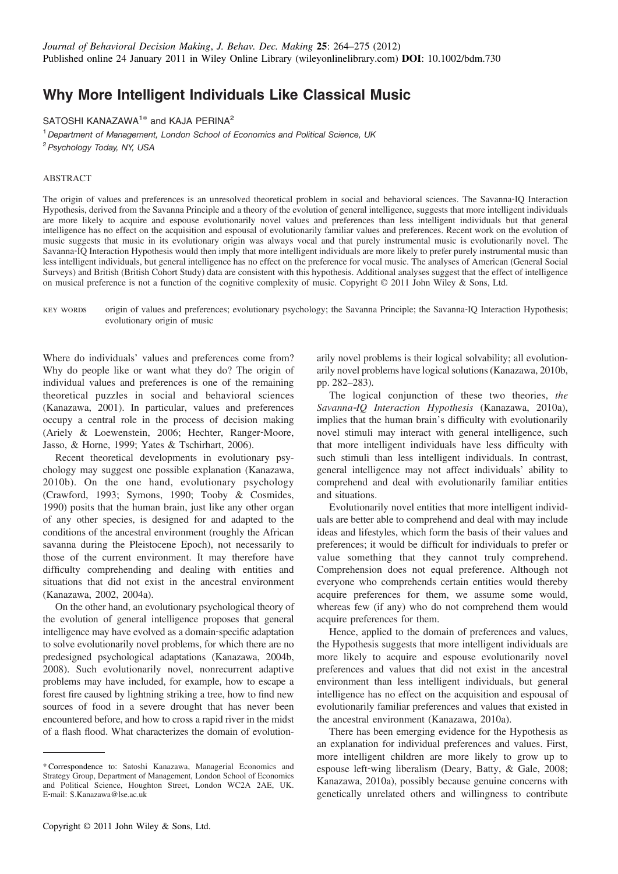# Why More Intelligent Individuals Like Classical Music

# SATOSHI KANAZAWA<sup>1\*</sup> and KAJA PERINA<sup>2</sup>

<sup>1</sup> Department of Management, London School of Economics and Political Science, UK <sup>2</sup> Psychology Today, NY, USA

#### ABSTRACT

The origin of values and preferences is an unresolved theoretical problem in social and behavioral sciences. The Savanna-IQ Interaction Hypothesis, derived from the Savanna Principle and a theory of the evolution of general intelligence, suggests that more intelligent individuals are more likely to acquire and espouse evolutionarily novel values and preferences than less intelligent individuals but that general intelligence has no effect on the acquisition and espousal of evolutionarily familiar values and preferences. Recent work on the evolution of music suggests that music in its evolutionary origin was always vocal and that purely instrumental music is evolutionarily novel. The Savanna-IQ Interaction Hypothesis would then imply that more intelligent individuals are more likely to prefer purely instrumental music than less intelligent individuals, but general intelligence has no effect on the preference for vocal music. The analyses of American (General Social Surveys) and British (British Cohort Study) data are consistent with this hypothesis. Additional analyses suggest that the effect of intelligence on musical preference is not a function of the cognitive complexity of music. Copyright © 2011 John Wiley & Sons, Ltd.

key words origin of values and preferences; evolutionary psychology; the Savanna Principle; the Savanna‐IQ Interaction Hypothesis; evolutionary origin of music

Where do individuals' values and preferences come from? Why do people like or want what they do? The origin of individual values and preferences is one of the remaining theoretical puzzles in social and behavioral sciences (Kanazawa, 2001). In particular, values and preferences occupy a central role in the process of decision making (Ariely & Loewenstein, 2006; Hechter, Ranger‐Moore, Jasso, & Horne, 1999; Yates & Tschirhart, 2006).

Recent theoretical developments in evolutionary psychology may suggest one possible explanation (Kanazawa, 2010b). On the one hand, evolutionary psychology (Crawford, 1993; Symons, 1990; Tooby & Cosmides, 1990) posits that the human brain, just like any other organ of any other species, is designed for and adapted to the conditions of the ancestral environment (roughly the African savanna during the Pleistocene Epoch), not necessarily to those of the current environment. It may therefore have difficulty comprehending and dealing with entities and situations that did not exist in the ancestral environment (Kanazawa, 2002, 2004a).

On the other hand, an evolutionary psychological theory of the evolution of general intelligence proposes that general intelligence may have evolved as a domain‐specific adaptation to solve evolutionarily novel problems, for which there are no predesigned psychological adaptations (Kanazawa, 2004b, 2008). Such evolutionarily novel, nonrecurrent adaptive problems may have included, for example, how to escape a forest fire caused by lightning striking a tree, how to find new sources of food in a severe drought that has never been encountered before, and how to cross a rapid river in the midst of a flash flood. What characterizes the domain of evolutionarily novel problems is their logical solvability; all evolutionarily novel problems have logical solutions (Kanazawa, 2010b, pp. 282–283).

The logical conjunction of these two theories, the Savanna-IO Interaction Hypothesis (Kanazawa, 2010a), implies that the human brain's difficulty with evolutionarily novel stimuli may interact with general intelligence, such that more intelligent individuals have less difficulty with such stimuli than less intelligent individuals. In contrast, general intelligence may not affect individuals' ability to comprehend and deal with evolutionarily familiar entities and situations.

Evolutionarily novel entities that more intelligent individuals are better able to comprehend and deal with may include ideas and lifestyles, which form the basis of their values and preferences; it would be difficult for individuals to prefer or value something that they cannot truly comprehend. Comprehension does not equal preference. Although not everyone who comprehends certain entities would thereby acquire preferences for them, we assume some would, whereas few (if any) who do not comprehend them would acquire preferences for them.

Hence, applied to the domain of preferences and values, the Hypothesis suggests that more intelligent individuals are more likely to acquire and espouse evolutionarily novel preferences and values that did not exist in the ancestral environment than less intelligent individuals, but general intelligence has no effect on the acquisition and espousal of evolutionarily familiar preferences and values that existed in the ancestral environment (Kanazawa, 2010a).

There has been emerging evidence for the Hypothesis as an explanation for individual preferences and values. First, more intelligent children are more likely to grow up to espouse left-wing liberalism (Deary, Batty, & Gale, 2008; Kanazawa, 2010a), possibly because genuine concerns with genetically unrelated others and willingness to contribute

<sup>\*</sup> Correspondence to: Satoshi Kanazawa, Managerial Economics and Strategy Group, Department of Management, London School of Economics and Political Science, Houghton Street, London WC2A 2AE, UK. E‐mail: S.Kanazawa@lse.ac.uk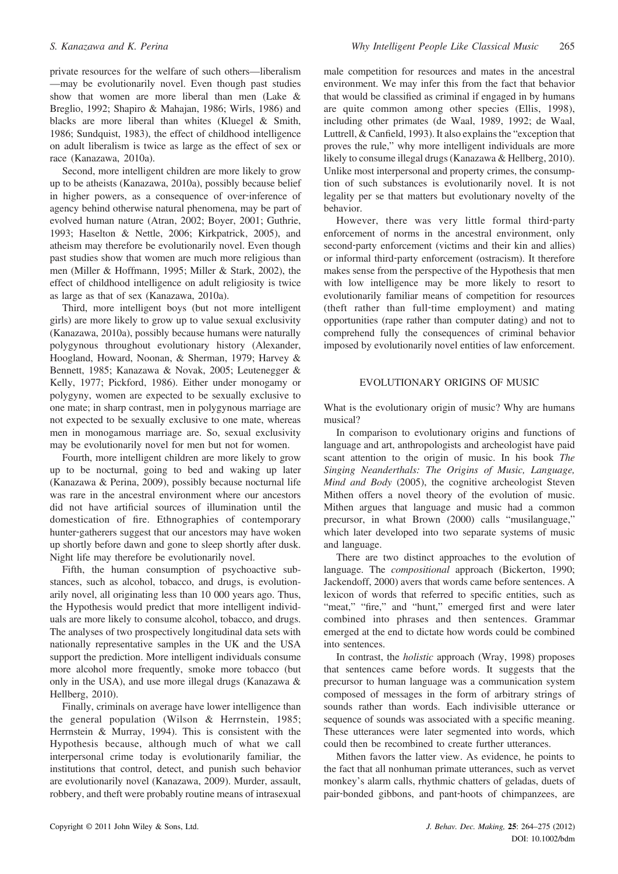private resources for the welfare of such others—liberalism —may be evolutionarily novel. Even though past studies show that women are more liberal than men (Lake & Breglio, 1992; Shapiro & Mahajan, 1986; Wirls, 1986) and blacks are more liberal than whites (Kluegel & Smith, 1986; Sundquist, 1983), the effect of childhood intelligence on adult liberalism is twice as large as the effect of sex or race (Kanazawa, 2010a).

Second, more intelligent children are more likely to grow up to be atheists (Kanazawa, 2010a), possibly because belief in higher powers, as a consequence of over-inference of agency behind otherwise natural phenomena, may be part of evolved human nature (Atran, 2002; Boyer, 2001; Guthrie, 1993; Haselton & Nettle, 2006; Kirkpatrick, 2005), and atheism may therefore be evolutionarily novel. Even though past studies show that women are much more religious than men (Miller & Hoffmann, 1995; Miller & Stark, 2002), the effect of childhood intelligence on adult religiosity is twice as large as that of sex (Kanazawa, 2010a).

Third, more intelligent boys (but not more intelligent girls) are more likely to grow up to value sexual exclusivity (Kanazawa, 2010a), possibly because humans were naturally polygynous throughout evolutionary history (Alexander, Hoogland, Howard, Noonan, & Sherman, 1979; Harvey & Bennett, 1985; Kanazawa & Novak, 2005; Leutenegger & Kelly, 1977; Pickford, 1986). Either under monogamy or polygyny, women are expected to be sexually exclusive to one mate; in sharp contrast, men in polygynous marriage are not expected to be sexually exclusive to one mate, whereas men in monogamous marriage are. So, sexual exclusivity may be evolutionarily novel for men but not for women.

Fourth, more intelligent children are more likely to grow up to be nocturnal, going to bed and waking up later (Kanazawa & Perina, 2009), possibly because nocturnal life was rare in the ancestral environment where our ancestors did not have artificial sources of illumination until the domestication of fire. Ethnographies of contemporary hunter-gatherers suggest that our ancestors may have woken up shortly before dawn and gone to sleep shortly after dusk. Night life may therefore be evolutionarily novel.

Fifth, the human consumption of psychoactive substances, such as alcohol, tobacco, and drugs, is evolutionarily novel, all originating less than 10 000 years ago. Thus, the Hypothesis would predict that more intelligent individuals are more likely to consume alcohol, tobacco, and drugs. The analyses of two prospectively longitudinal data sets with nationally representative samples in the UK and the USA support the prediction. More intelligent individuals consume more alcohol more frequently, smoke more tobacco (but only in the USA), and use more illegal drugs (Kanazawa & Hellberg, 2010).

Finally, criminals on average have lower intelligence than the general population (Wilson & Herrnstein, 1985; Herrnstein & Murray, 1994). This is consistent with the Hypothesis because, although much of what we call interpersonal crime today is evolutionarily familiar, the institutions that control, detect, and punish such behavior are evolutionarily novel (Kanazawa, 2009). Murder, assault, robbery, and theft were probably routine means of intrasexual male competition for resources and mates in the ancestral environment. We may infer this from the fact that behavior that would be classified as criminal if engaged in by humans are quite common among other species (Ellis, 1998), including other primates (de Waal, 1989, 1992; de Waal, Luttrell, & Canfield, 1993). It also explains the "exception that proves the rule," why more intelligent individuals are more likely to consume illegal drugs (Kanazawa & Hellberg, 2010). Unlike most interpersonal and property crimes, the consumption of such substances is evolutionarily novel. It is not legality per se that matters but evolutionary novelty of the behavior.

However, there was very little formal third‐party enforcement of norms in the ancestral environment, only second-party enforcement (victims and their kin and allies) or informal third‐party enforcement (ostracism). It therefore makes sense from the perspective of the Hypothesis that men with low intelligence may be more likely to resort to evolutionarily familiar means of competition for resources (theft rather than full‐time employment) and mating opportunities (rape rather than computer dating) and not to comprehend fully the consequences of criminal behavior imposed by evolutionarily novel entities of law enforcement.

# EVOLUTIONARY ORIGINS OF MUSIC

What is the evolutionary origin of music? Why are humans musical?

In comparison to evolutionary origins and functions of language and art, anthropologists and archeologist have paid scant attention to the origin of music. In his book The Singing Neanderthals: The Origins of Music, Language, Mind and Body (2005), the cognitive archeologist Steven Mithen offers a novel theory of the evolution of music. Mithen argues that language and music had a common precursor, in what Brown (2000) calls "musilanguage," which later developed into two separate systems of music and language.

There are two distinct approaches to the evolution of language. The compositional approach (Bickerton, 1990; Jackendoff, 2000) avers that words came before sentences. A lexicon of words that referred to specific entities, such as "meat," "fire," and "hunt," emerged first and were later combined into phrases and then sentences. Grammar emerged at the end to dictate how words could be combined into sentences.

In contrast, the holistic approach (Wray, 1998) proposes that sentences came before words. It suggests that the precursor to human language was a communication system composed of messages in the form of arbitrary strings of sounds rather than words. Each indivisible utterance or sequence of sounds was associated with a specific meaning. These utterances were later segmented into words, which could then be recombined to create further utterances.

Mithen favors the latter view. As evidence, he points to the fact that all nonhuman primate utterances, such as vervet monkey's alarm calls, rhythmic chatters of geladas, duets of pair‐bonded gibbons, and pant‐hoots of chimpanzees, are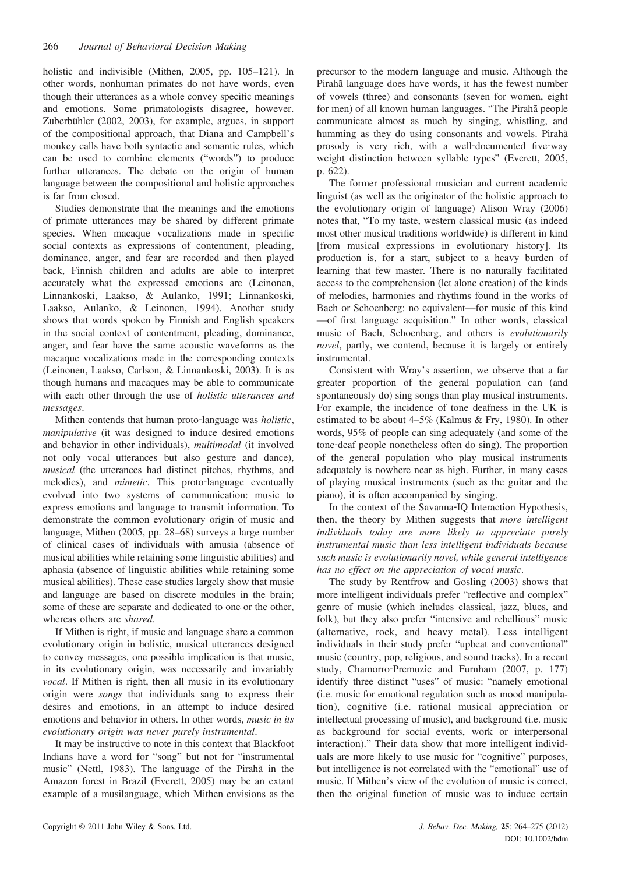holistic and indivisible (Mithen, 2005, pp. 105–121). In other words, nonhuman primates do not have words, even though their utterances as a whole convey specific meanings and emotions. Some primatologists disagree, however. Zuberbühler (2002, 2003), for example, argues, in support of the compositional approach, that Diana and Campbell's monkey calls have both syntactic and semantic rules, which can be used to combine elements ("words") to produce further utterances. The debate on the origin of human language between the compositional and holistic approaches is far from closed.

Studies demonstrate that the meanings and the emotions of primate utterances may be shared by different primate species. When macaque vocalizations made in specific social contexts as expressions of contentment, pleading, dominance, anger, and fear are recorded and then played back, Finnish children and adults are able to interpret accurately what the expressed emotions are (Leinonen, Linnankoski, Laakso, & Aulanko, 1991; Linnankoski, Laakso, Aulanko, & Leinonen, 1994). Another study shows that words spoken by Finnish and English speakers in the social context of contentment, pleading, dominance, anger, and fear have the same acoustic waveforms as the macaque vocalizations made in the corresponding contexts (Leinonen, Laakso, Carlson, & Linnankoski, 2003). It is as though humans and macaques may be able to communicate with each other through the use of holistic utterances and messages.

Mithen contends that human proto-language was *holistic*, manipulative (it was designed to induce desired emotions and behavior in other individuals), multimodal (it involved not only vocal utterances but also gesture and dance), musical (the utterances had distinct pitches, rhythms, and melodies), and *mimetic*. This proto-language eventually evolved into two systems of communication: music to express emotions and language to transmit information. To demonstrate the common evolutionary origin of music and language, Mithen (2005, pp. 28–68) surveys a large number of clinical cases of individuals with amusia (absence of musical abilities while retaining some linguistic abilities) and aphasia (absence of linguistic abilities while retaining some musical abilities). These case studies largely show that music and language are based on discrete modules in the brain; some of these are separate and dedicated to one or the other, whereas others are shared.

If Mithen is right, if music and language share a common evolutionary origin in holistic, musical utterances designed to convey messages, one possible implication is that music, in its evolutionary origin, was necessarily and invariably vocal. If Mithen is right, then all music in its evolutionary origin were songs that individuals sang to express their desires and emotions, in an attempt to induce desired emotions and behavior in others. In other words, *music in its* evolutionary origin was never purely instrumental.

It may be instructive to note in this context that Blackfoot Indians have a word for "song" but not for "instrumental music" (Nettl, 1983). The language of the Pirahã in the Amazon forest in Brazil (Everett, 2005) may be an extant example of a musilanguage, which Mithen envisions as the precursor to the modern language and music. Although the Pirahã language does have words, it has the fewest number of vowels (three) and consonants (seven for women, eight for men) of all known human languages. "The Pirahã people communicate almost as much by singing, whistling, and humming as they do using consonants and vowels. Pirahã prosody is very rich, with a well-documented five-way weight distinction between syllable types" (Everett, 2005, p. 622).

The former professional musician and current academic linguist (as well as the originator of the holistic approach to the evolutionary origin of language) Alison Wray (2006) notes that, "To my taste, western classical music (as indeed most other musical traditions worldwide) is different in kind [from musical expressions in evolutionary history]. Its production is, for a start, subject to a heavy burden of learning that few master. There is no naturally facilitated access to the comprehension (let alone creation) of the kinds of melodies, harmonies and rhythms found in the works of Bach or Schoenberg: no equivalent—for music of this kind —of first language acquisition." In other words, classical music of Bach, Schoenberg, and others is evolutionarily novel, partly, we contend, because it is largely or entirely instrumental.

Consistent with Wray's assertion, we observe that a far greater proportion of the general population can (and spontaneously do) sing songs than play musical instruments. For example, the incidence of tone deafness in the UK is estimated to be about 4–5% (Kalmus & Fry, 1980). In other words, 95% of people can sing adequately (and some of the tone‐deaf people nonetheless often do sing). The proportion of the general population who play musical instruments adequately is nowhere near as high. Further, in many cases of playing musical instruments (such as the guitar and the piano), it is often accompanied by singing.

In the context of the Savanna-IO Interaction Hypothesis, then, the theory by Mithen suggests that *more intelligent* individuals today are more likely to appreciate purely instrumental music than less intelligent individuals because such music is evolutionarily novel, while general intelligence has no effect on the appreciation of vocal music.

The study by Rentfrow and Gosling (2003) shows that more intelligent individuals prefer "reflective and complex" genre of music (which includes classical, jazz, blues, and folk), but they also prefer "intensive and rebellious" music (alternative, rock, and heavy metal). Less intelligent individuals in their study prefer "upbeat and conventional" music (country, pop, religious, and sound tracks). In a recent study, Chamorro‐Premuzic and Furnham (2007, p. 177) identify three distinct "uses" of music: "namely emotional (i.e. music for emotional regulation such as mood manipulation), cognitive (i.e. rational musical appreciation or intellectual processing of music), and background (i.e. music as background for social events, work or interpersonal interaction)." Their data show that more intelligent individuals are more likely to use music for "cognitive" purposes, but intelligence is not correlated with the "emotional" use of music. If Mithen's view of the evolution of music is correct, then the original function of music was to induce certain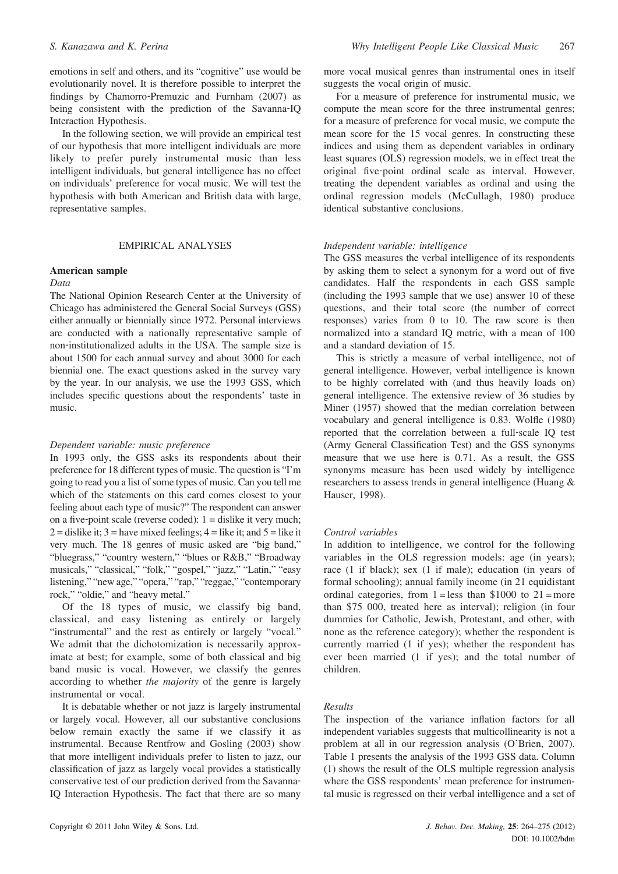emotions in self and others, and its "cognitive" use would be evolutionarily novel. It is therefore possible to interpret the findings by Chamorro‐Premuzic and Furnham (2007) as being consistent with the prediction of the Savanna‐IQ Interaction Hypothesis.

In the following section, we will provide an empirical test of our hypothesis that more intelligent individuals are more likely to prefer purely instrumental music than less intelligent individuals, but general intelligence has no effect on individuals' preference for vocal music. We will test the hypothesis with both American and British data with large, representative samples.

# EMPIRICAL ANALYSES

#### American sample

## Data

The National Opinion Research Center at the University of Chicago has administered the General Social Surveys (GSS) either annually or biennially since 1972. Personal interviews are conducted with a nationally representative sample of non‐institutionalized adults in the USA. The sample size is about 1500 for each annual survey and about 3000 for each biennial one. The exact questions asked in the survey vary by the year. In our analysis, we use the 1993 GSS, which includes specific questions about the respondents' taste in music.

#### Dependent variable: music preference

In 1993 only, the GSS asks its respondents about their preference for 18 different types of music. The question is "I'm going to read you a list of some types of music. Can you tell me which of the statements on this card comes closest to your feeling about each type of music?" The respondent can answer on a five-point scale (reverse coded):  $1 =$  dislike it very much;  $2 =$  dislike it;  $3 =$  have mixed feelings;  $4 =$  like it; and  $5 =$  like it very much. The 18 genres of music asked are "big band," "bluegrass," "country western," "blues or R&B," "Broadway musicals," "classical," "folk," "gospel," "jazz," "Latin," "easy listening," "new age," "opera," "rap," "reggae," "contemporary rock," "oldie," and "heavy metal."

Of the 18 types of music, we classify big band, classical, and easy listening as entirely or largely "instrumental" and the rest as entirely or largely "vocal." We admit that the dichotomization is necessarily approximate at best; for example, some of both classical and big band music is vocal. However, we classify the genres according to whether the majority of the genre is largely instrumental or vocal.

It is debatable whether or not jazz is largely instrumental or largely vocal. However, all our substantive conclusions below remain exactly the same if we classify it as instrumental. Because Rentfrow and Gosling (2003) show that more intelligent individuals prefer to listen to jazz, our classification of jazz as largely vocal provides a statistically conservative test of our prediction derived from the Savanna‐ IQ Interaction Hypothesis. The fact that there are so many more vocal musical genres than instrumental ones in itself suggests the vocal origin of music.

For a measure of preference for instrumental music, we compute the mean score for the three instrumental genres; for a measure of preference for vocal music, we compute the mean score for the 15 vocal genres. In constructing these indices and using them as dependent variables in ordinary least squares (OLS) regression models, we in effect treat the original five‐point ordinal scale as interval. However, treating the dependent variables as ordinal and using the ordinal regression models (McCullagh, 1980) produce identical substantive conclusions.

### Independent variable: intelligence

The GSS measures the verbal intelligence of its respondents by asking them to select a synonym for a word out of five candidates. Half the respondents in each GSS sample (including the 1993 sample that we use) answer 10 of these questions, and their total score (the number of correct responses) varies from 0 to 10. The raw score is then normalized into a standard IQ metric, with a mean of 100 and a standard deviation of 15.

This is strictly a measure of verbal intelligence, not of general intelligence. However, verbal intelligence is known to be highly correlated with (and thus heavily loads on) general intelligence. The extensive review of 36 studies by Miner (1957) showed that the median correlation between vocabulary and general intelligence is 0.83. Wolfle (1980) reported that the correlation between a full‐scale IQ test (Army General Classification Test) and the GSS synonyms measure that we use here is 0.71. As a result, the GSS synonyms measure has been used widely by intelligence researchers to assess trends in general intelligence (Huang & Hauser, 1998).

## Control variables

In addition to intelligence, we control for the following variables in the OLS regression models: age (in years); race (1 if black); sex (1 if male); education (in years of formal schooling); annual family income (in 21 equidistant ordinal categories, from  $1 =$ less than \$1000 to  $21 =$ more than \$75 000, treated here as interval); religion (in four dummies for Catholic, Jewish, Protestant, and other, with none as the reference category); whether the respondent is currently married (1 if yes); whether the respondent has ever been married (1 if yes); and the total number of children.

# Results

The inspection of the variance inflation factors for all independent variables suggests that multicollinearity is not a problem at all in our regression analysis (O'Brien, 2007). Table 1 presents the analysis of the 1993 GSS data. Column (1) shows the result of the OLS multiple regression analysis where the GSS respondents' mean preference for instrumental music is regressed on their verbal intelligence and a set of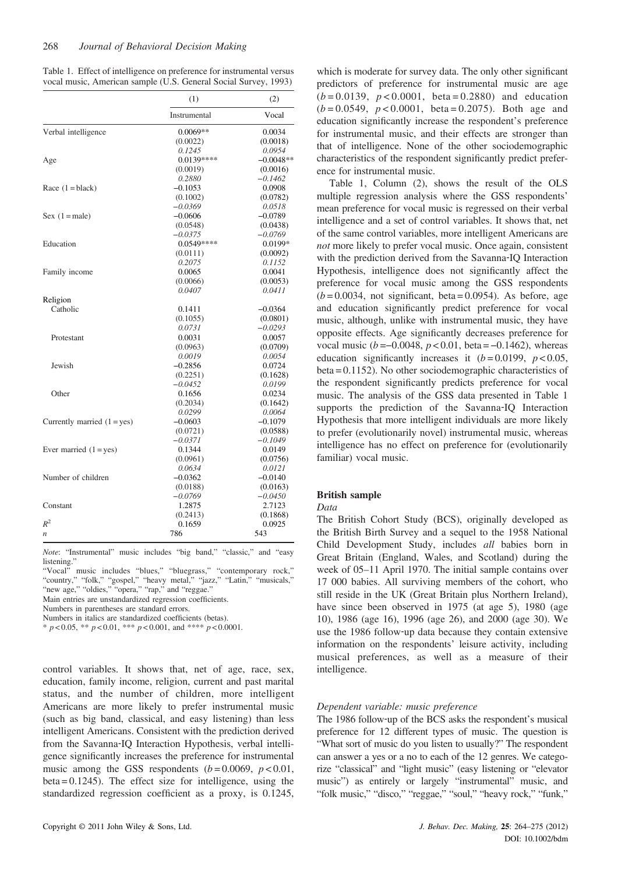Table 1. Effect of intelligence on preference for instrumental versus vocal music, American sample (U.S. General Social Survey, 1993)

|                               | (1)          | (2)<br>Vocal |  |
|-------------------------------|--------------|--------------|--|
|                               | Instrumental |              |  |
| Verbal intelligence           | $0.0069**$   | 0.0034       |  |
|                               | (0.0022)     | (0.0018)     |  |
|                               | 0.1245       | 0.0954       |  |
| Age                           | $0.0139***$  | $-0.0048**$  |  |
|                               | (0.0019)     | (0.0016)     |  |
|                               | 0.2880       | $-0.1462$    |  |
| Race $(1 = black)$            | $-0.1053$    | 0.0908       |  |
|                               | (0.1002)     | (0.0782)     |  |
|                               | -0.0369      | 0.0518       |  |
| Sex $(1 = male)$              | $-0.0606$    | $-0.0789$    |  |
|                               | (0.0548)     | (0.0438)     |  |
|                               | $-0.0375$    | $-0.0769$    |  |
| Education                     | 0.0549****   | $0.0199*$    |  |
|                               | (0.0111)     | (0.0092)     |  |
|                               | 0.2075       | 0.1152       |  |
| Family income                 | 0.0065       | 0.0041       |  |
|                               | (0.0066)     | (0.0053)     |  |
|                               | 0.0407       | 0.0411       |  |
| Religion                      |              |              |  |
| Catholic                      | 0.1411       | $-0.0364$    |  |
|                               | (0.1055)     | (0.0801)     |  |
|                               | 0.0731       | $-0.0293$    |  |
| Protestant                    | 0.0031       | 0.0057       |  |
|                               | (0.0963)     | (0.0709)     |  |
|                               | 0.0019       | 0.0054       |  |
| Jewish                        | $-0.2856$    | 0.0724       |  |
|                               | (0.2251)     | (0.1628)     |  |
|                               | $-0.0452$    | 0.0199       |  |
| Other                         | 0.1656       | 0.0234       |  |
|                               | (0.2034)     | (0.1642)     |  |
|                               | 0.0299       | 0.0064       |  |
| Currently married $(1 = yes)$ | $-0.0603$    | $-0.1079$    |  |
|                               | (0.0721)     | (0.0588)     |  |
|                               | $-0.0371$    | $-0.1049$    |  |
| Ever married $(1 = yes)$      | 0.1344       | 0.0149       |  |
|                               | (0.0961)     | (0.0756)     |  |
|                               | 0.0634       | 0.0121       |  |
| Number of children            | $-0.0362$    | $-0.0140$    |  |
|                               | (0.0188)     | (0.0163)     |  |
|                               | $-0.0769$    | $-0.0450$    |  |
| Constant                      | 1.2875       | 2.7123       |  |
|                               | (0.2413)     | (0.1868)     |  |
| $R^2$                         | 0.1659       | 0.0925       |  |
|                               | 786          | 543          |  |
| $\boldsymbol{n}$              |              |              |  |

Note: "Instrumental" music includes "big band," "classic," and "easy listening."

"Vocal" music includes "blues," "bluegrass," "contemporary rock," "country," "folk," "gospel," "heavy metal," "jazz," "Latin," "musicals," "new age," "oldies," "opera," "rap," and "reggae."

Main entries are unstandardized regression coefficients.

Numbers in parentheses are standard errors.

Numbers in italics are standardized coefficients (betas).

\*  $p < 0.05$ , \*\*  $p < 0.01$ , \*\*\*  $p < 0.001$ , and \*\*\*\*  $p < 0.0001$ .

control variables. It shows that, net of age, race, sex, education, family income, religion, current and past marital status, and the number of children, more intelligent Americans are more likely to prefer instrumental music (such as big band, classical, and easy listening) than less intelligent Americans. Consistent with the prediction derived from the Savanna‐IQ Interaction Hypothesis, verbal intelligence significantly increases the preference for instrumental music among the GSS respondents  $(b=0.0069, p<0.01,$  $beta = 0.1245$ . The effect size for intelligence, using the standardized regression coefficient as a proxy, is 0.1245,

which is moderate for survey data. The only other significant predictors of preference for instrumental music are age  $(b = 0.0139, p < 0.0001, \text{beta} = 0.2880)$  and education  $(b = 0.0549, p < 0.0001, \text{beta} = 0.2075)$ . Both age and education significantly increase the respondent's preference for instrumental music, and their effects are stronger than that of intelligence. None of the other sociodemographic characteristics of the respondent significantly predict preference for instrumental music.

Table 1, Column (2), shows the result of the OLS multiple regression analysis where the GSS respondents' mean preference for vocal music is regressed on their verbal intelligence and a set of control variables. It shows that, net of the same control variables, more intelligent Americans are not more likely to prefer vocal music. Once again, consistent with the prediction derived from the Savanna‐IQ Interaction Hypothesis, intelligence does not significantly affect the preference for vocal music among the GSS respondents  $(b=0.0034, \text{ not significant, beta}=0.0954)$ . As before, age and education significantly predict preference for vocal music, although, unlike with instrumental music, they have opposite effects. Age significantly decreases preference for vocal music ( $b = -0.0048$ ,  $p < 0.01$ , beta =  $-0.1462$ ), whereas education significantly increases it  $(b=0.0199, p<0.05,$ beta = 0.1152). No other sociodemographic characteristics of the respondent significantly predicts preference for vocal music. The analysis of the GSS data presented in Table 1 supports the prediction of the Savanna‐IQ Interaction Hypothesis that more intelligent individuals are more likely to prefer (evolutionarily novel) instrumental music, whereas intelligence has no effect on preference for (evolutionarily familiar) vocal music.

# British sample

#### Data

The British Cohort Study (BCS), originally developed as the British Birth Survey and a sequel to the 1958 National Child Development Study, includes all babies born in Great Britain (England, Wales, and Scotland) during the week of 05–11 April 1970. The initial sample contains over 17 000 babies. All surviving members of the cohort, who still reside in the UK (Great Britain plus Northern Ireland), have since been observed in 1975 (at age 5), 1980 (age 10), 1986 (age 16), 1996 (age 26), and 2000 (age 30). We use the 1986 follow-up data because they contain extensive information on the respondents' leisure activity, including musical preferences, as well as a measure of their intelligence.

#### Dependent variable: music preference

The 1986 follow-up of the BCS asks the respondent's musical preference for 12 different types of music. The question is "What sort of music do you listen to usually?" The respondent can answer a yes or a no to each of the 12 genres. We categorize "classical" and "light music" (easy listening or "elevator music") as entirely or largely "instrumental" music, and "folk music," "disco," "reggae," "soul," "heavy rock," "funk,"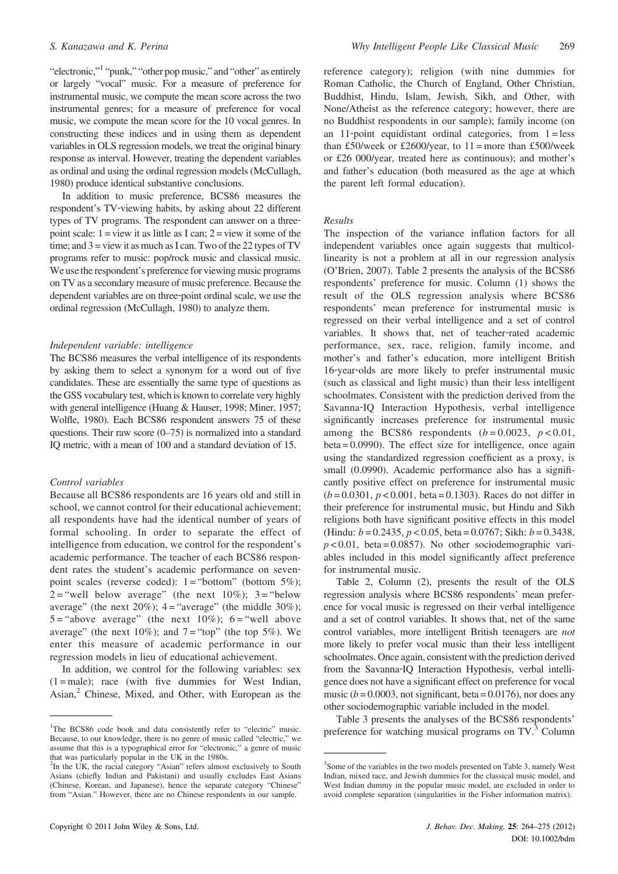"electronic,"<sup>1</sup> "punk," "other pop music," and "other" as entirely or largely "vocal" music. For a measure of preference for instrumental music, we compute the mean score across the two instrumental genres; for a measure of preference for vocal music, we compute the mean score for the 10 vocal genres. In constructing these indices and in using them as dependent variables in OLS regression models, we treat the original binary response as interval. However, treating the dependent variables as ordinal and using the ordinal regression models (McCullagh, 1980) produce identical substantive conclusions.

In addition to music preference, BCS86 measures the respondent's TV‐viewing habits, by asking about 22 different types of TV programs. The respondent can answer on a threepoint scale:  $1 =$  view it as little as I can;  $2 =$  view it some of the time; and  $3 =$  view it as much as I can. Two of the 22 types of TV programs refer to music: pop/rock music and classical music. We use the respondent's preference for viewing music programs on TV as a secondary measure of music preference. Because the dependent variables are on three‐point ordinal scale, we use the ordinal regression (McCullagh, 1980) to analyze them.

### Independent variable: intelligence

The BCS86 measures the verbal intelligence of its respondents by asking them to select a synonym for a word out of five candidates. These are essentially the same type of questions as the GSS vocabulary test, which is known to correlate very highly with general intelligence (Huang & Hauser, 1998; Miner, 1957; Wolfle, 1980). Each BCS86 respondent answers 75 of these questions. Their raw score (0–75) is normalized into a standard IQ metric, with a mean of 100 and a standard deviation of 15.

#### Control variables

Because all BCS86 respondents are 16 years old and still in school, we cannot control for their educational achievement; all respondents have had the identical number of years of formal schooling. In order to separate the effect of intelligence from education, we control for the respondent's academic performance. The teacher of each BCS86 respondent rates the student's academic performance on sevenpoint scales (reverse coded):  $1 =$  "bottom" (bottom 5%);  $2 =$ "well below average" (the next 10%);  $3 =$ "below average" (the next  $20\%$ );  $4 =$  "average" (the middle  $30\%$ );  $5 =$ "above average" (the next 10%);  $6 =$ "well above average" (the next  $10\%$ ); and  $7 =$ "top" (the top 5%). We enter this measure of academic performance in our regression models in lieu of educational achievement.

In addition, we control for the following variables: sex  $(1 = male)$ ; race (with five dummies for West Indian, Asian,<sup>2</sup> Chinese, Mixed, and Other, with European as the reference category); religion (with nine dummies for Roman Catholic, the Church of England, Other Christian, Buddhist, Hindu, Islam, Jewish, Sikh, and Other, with None/Atheist as the reference category; however, there are no Buddhist respondents in our sample); family income (on an 11-point equidistant ordinal categories, from  $1 =$  less than £50/week or £2600/year, to  $11 =$ more than £500/week or £26 000/year, treated here as continuous); and mother's and father's education (both measured as the age at which the parent left formal education).

## Results

The inspection of the variance inflation factors for all independent variables once again suggests that multicollinearity is not a problem at all in our regression analysis (O'Brien, 2007). Table 2 presents the analysis of the BCS86 respondents' preference for music. Column (1) shows the result of the OLS regression analysis where BCS86 respondents' mean preference for instrumental music is regressed on their verbal intelligence and a set of control variables. It shows that, net of teacher-rated academic performance, sex, race, religion, family income, and mother's and father's education, more intelligent British 16‐year‐olds are more likely to prefer instrumental music (such as classical and light music) than their less intelligent schoolmates. Consistent with the prediction derived from the Savanna‐IQ Interaction Hypothesis, verbal intelligence significantly increases preference for instrumental music among the BCS86 respondents  $(b=0.0023, p<0.01,$  $beta = 0.0990$ . The effect size for intelligence, once again using the standardized regression coefficient as a proxy, is small (0.0990). Academic performance also has a significantly positive effect on preference for instrumental music  $(b=0.0301, p<0.001, \text{beta}=0.1303)$ . Races do not differ in their preference for instrumental music, but Hindu and Sikh religions both have significant positive effects in this model (Hindu:  $b = 0.2435$ ,  $p < 0.05$ , beta = 0.0767; Sikh:  $b = 0.3438$ ,  $p < 0.01$ , beta = 0.0857). No other sociodemographic variables included in this model significantly affect preference for instrumental music.

Table 2, Column (2), presents the result of the OLS regression analysis where BCS86 respondents' mean preference for vocal music is regressed on their verbal intelligence and a set of control variables. It shows that, net of the same control variables, more intelligent British teenagers are not more likely to prefer vocal music than their less intelligent schoolmates. Once again, consistent with the prediction derived from the Savanna-IQ Interaction Hypothesis, verbal intelligence does not have a significant effect on preference for vocal music ( $b = 0.0003$ , not significant, beta = 0.0176), nor does any other sociodemographic variable included in the model.

Table 3 presents the analyses of the BCS86 respondents' preference for watching musical programs on  $TV<sup>3</sup>$  Column

<sup>&</sup>lt;sup>1</sup>The BCS86 code book and data consistently refer to "electric" music. Because, to our knowledge, there is no genre of music called "electric," we assume that this is a typographical error for "electronic," a genre of music that was particularly popular in the UK in the 1980s.

<sup>&</sup>lt;sup>2</sup>In the UK, the racial category "Asian" refers almost exclusively to South Asians (chiefly Indian and Pakistani) and usually excludes East Asians (Chinese, Korean, and Japanese), hence the separate category "Chinese" from "Asian." However, there are no Chinese respondents in our sample.

<sup>&</sup>lt;sup>3</sup>Some of the variables in the two models presented on Table 3, namely West Indian, mixed race, and Jewish dummies for the classical music model, and West Indian dummy in the popular music model, are excluded in order to avoid complete separation (singularities in the Fisher information matrix).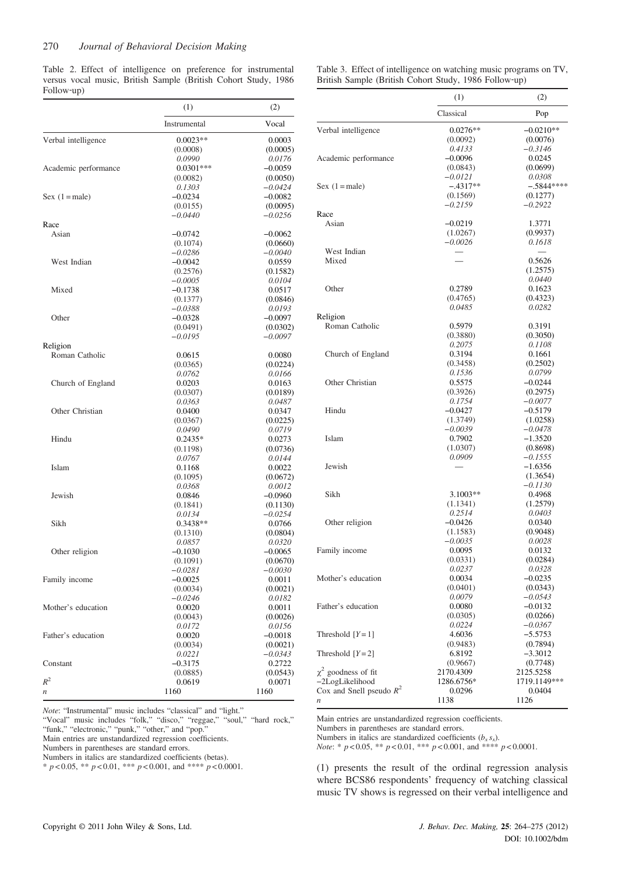Table 2. Effect of intelligence on preference for instrumental versus vocal music, British Sample (British Cohort Study, 1986 Follow‐up)

Table 3. Effect of intelligence on watching music programs on TV, British Sample (British Cohort Study, 1986 Follow‐up)

|                            | (1)          | (2)       |
|----------------------------|--------------|-----------|
|                            | Instrumental | Vocal     |
| Verbal intelligence        | $0.0023**$   | 0.0003    |
|                            | (0.0008)     | (0.0005)  |
|                            | 0.0990       | 0.0176    |
| Academic performance       | $0.0301***$  | $-0.0059$ |
|                            | (0.0082)     | (0.0050)  |
|                            | 0.1303       | $-0.0424$ |
| Sex $(1 = male)$           | $-0.0234$    | $-0.0082$ |
|                            | (0.0155)     | (0.0095)  |
|                            | $-0.0440$    | $-0.0256$ |
| Race                       |              |           |
| Asian                      | $-0.0742$    | $-0.0062$ |
|                            | (0.1074)     | (0.0660)  |
|                            | $-0.0286$    | $-0.0040$ |
| West Indian                | $-0.0042$    | 0.0559    |
|                            | (0.2576)     | (0.1582)  |
|                            | $-0.0005$    | 0.0104    |
| Mixed                      | $-0.1738$    | 0.0517    |
|                            | (0.1377)     | (0.0846)  |
|                            | $-0.0388$    | 0.0193    |
| Other                      | $-0.0328$    | $-0.0097$ |
|                            | (0.0491)     | (0.0302)  |
|                            | $-0.0195$    | $-0.0097$ |
| Religion<br>Roman Catholic | 0.0615       | 0.0080    |
|                            | (0.0365)     | (0.0224)  |
|                            | 0.0762       | 0.0166    |
| Church of England          | 0.0203       | 0.0163    |
|                            | (0.0307)     | (0.0189)  |
|                            | 0.0363       | 0.0487    |
| Other Christian            | 0.0400       | 0.0347    |
|                            | (0.0367)     | (0.0225)  |
|                            | 0.0490       | 0.0719    |
| Hindu                      | $0.2435*$    | 0.0273    |
|                            | (0.1198)     | (0.0736)  |
|                            | 0.0767       | 0.0144    |
| Islam                      | 0.1168       | 0.0022    |
|                            | (0.1095)     | (0.0672)  |
|                            | 0.0368       | 0.0012    |
| Jewish                     | 0.0846       | $-0.0960$ |
|                            | (0.1841)     | (0.1130)  |
|                            | 0.0134       | $-0.0254$ |
| Sikh                       | $0.3438**$   | 0.0766    |
|                            | (0.1310)     | (0.0804)  |
|                            | 0.0857       | 0.0320    |
| Other religion             | $-0.1030$    | $-0.0065$ |
|                            | (0.1091)     | (0.0670)  |
|                            | $-0.0281$    | $-0.0030$ |
| Family income              | $-0.0025$    | 0.0011    |
|                            | (0.0034)     | (0.0021)  |
|                            | $-0.0246$    | 0.0182    |
| Mother's education         | 0.0020       | 0.0011    |
|                            | (0.0043)     | (0.0026)  |
|                            | 0.0172       | 0.0156    |
| Father's education         | 0.0020       | $-0.0018$ |
|                            | (0.0034)     | (0.0021)  |
|                            | 0.0221       | $-0.0343$ |
| Constant                   | $-0.3175$    | 0.2722    |
|                            | (0.0885)     | (0.0543)  |
| $R^2$                      | 0.0619       | 0.0071    |
| $\boldsymbol{n}$           | 1160         | 1160      |

Note: "Instrumental" music includes "classical" and "light."

"Vocal" music includes "folk," "disco," "reggae," "soul," "hard rock," "funk," "electronic," "punk," "other," and "pop."

Main entries are unstandardized regression coefficients.

Numbers in parentheses are standard errors.

Numbers in italics are standardized coefficients (betas).

\*  $p < 0.05$ , \*\*  $p < 0.01$ , \*\*\*  $p < 0.001$ , and \*\*\*\*  $p < 0.0001$ .

|                            | (1)        | (2)          |  |
|----------------------------|------------|--------------|--|
|                            | Classical  | Pop          |  |
| Verbal intelligence        | $0.0276**$ | $-0.0210**$  |  |
|                            | (0.0092)   | (0.0076)     |  |
|                            | 0.4133     | $-0.3146$    |  |
| Academic performance       | $-0.0096$  | 0.0245       |  |
|                            | (0.0843)   | (0.0699)     |  |
|                            | $-0.0121$  | 0.0308       |  |
| Sex $(1 = male)$           | $-.4317**$ | $-.5844***$  |  |
|                            | (0.1569)   | (0.1277)     |  |
|                            | $-0.2159$  | $-0.2922$    |  |
| Race<br>Asian              | $-0.0219$  |              |  |
|                            |            | 1.3771       |  |
|                            | (1.0267)   | (0.9937)     |  |
|                            | $-0.0026$  | 0.1618       |  |
| West Indian                |            |              |  |
| Mixed                      |            | 0.5626       |  |
|                            |            | (1.2575)     |  |
|                            |            | 0.0440       |  |
| Other                      | 0.2789     | 0.1623       |  |
|                            | (0.4765)   | (0.4323)     |  |
|                            | 0.0485     | 0.0282       |  |
| Religion<br>Roman Catholic | 0.5979     | 0.3191       |  |
|                            | (0.3880)   | (0.3050)     |  |
|                            | 0.2075     | 0.1108       |  |
| Church of England          | 0.3194     | 0.1661       |  |
|                            | (0.3458)   | (0.2502)     |  |
|                            | 0.1536     | 0.0799       |  |
| Other Christian            | 0.5575     | $-0.0244$    |  |
|                            |            | (0.2975)     |  |
|                            | (0.3926)   |              |  |
|                            | 0.1754     | $-0.0077$    |  |
| Hindu                      | $-0.0427$  | $-0.5179$    |  |
|                            | (1.3749)   | (1.0258)     |  |
| Islam                      | $-0.0039$  | $-0.0478$    |  |
|                            | 0.7902     | $-1.3520$    |  |
|                            | (1.0307)   | (0.8698)     |  |
|                            | 0.0909     | $-0.1555$    |  |
| Jewish                     |            | $-1.6356$    |  |
|                            |            | (1.3654)     |  |
|                            |            | $-0.1130$    |  |
| Sikh                       | $3.1003**$ | 0.4968       |  |
|                            | (1.1341)   | (1.2579)     |  |
|                            | 0.2514     | 0.0403       |  |
| Other religion             | $-0.0426$  | 0.0340       |  |
|                            | (1.1583)   | (0.9048)     |  |
|                            | $-0.0035$  | 0.0028       |  |
| Family income              | 0.0095     | 0.0132       |  |
|                            | (0.0331)   | (0.0284)     |  |
|                            | 0.0237     | 0.0328       |  |
| Mother's education         | 0.0034     | $-0.0235$    |  |
|                            | (0.0401)   | (0.0343)     |  |
|                            | 0.0079     | $-0.0543$    |  |
| Father's education         | 0.0080     | $-0.0132$    |  |
|                            | (0.0305)   | (0.0266)     |  |
|                            | 0.0224     | $-0.0367$    |  |
| Threshold $[Y=1]$          | 4.6036     | -5.5753      |  |
|                            | (0.9483)   | (0.7894)     |  |
| Threshold $[Y=2]$          | 6.8192     | $-3.3012$    |  |
|                            | (0.9667)   | (0.7748)     |  |
| $\gamma^2$ goodness of fit | 2170.4309  | 2125.5258    |  |
| -2LogLikelihood            | 1286.6756* | 1719.1149*** |  |
| Cox and Snell pseudo $R^2$ | 0.0296     | 0.0404       |  |
| n                          | 1138       | 1126         |  |

Main entries are unstandardized regression coefficients.

Numbers in parentheses are standard errors.

Numbers in italics are standardized coefficients  $(b_x s_x)$ .

*Note*: \*  $p < 0.05$ , \*\*  $p < 0.01$ , \*\*\*  $p < 0.001$ , and \*\*\*\*  $p < 0.0001$ .

(1) presents the result of the ordinal regression analysis where BCS86 respondents' frequency of watching classical music TV shows is regressed on their verbal intelligence and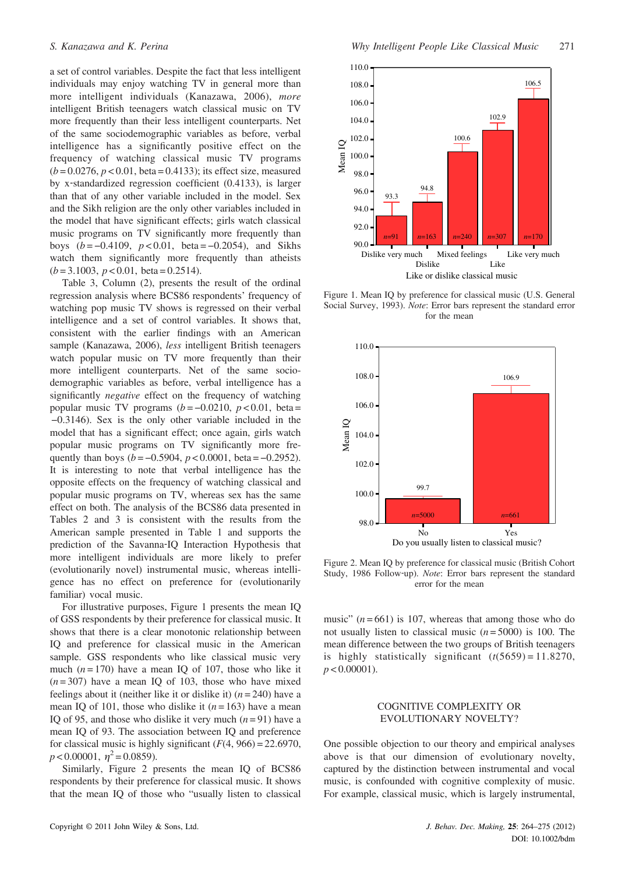a set of control variables. Despite the fact that less intelligent individuals may enjoy watching TV in general more than more intelligent individuals (Kanazawa, 2006), more intelligent British teenagers watch classical music on TV more frequently than their less intelligent counterparts. Net of the same sociodemographic variables as before, verbal intelligence has a significantly positive effect on the frequency of watching classical music TV programs  $(b = 0.0276, p < 0.01, \text{ beta} = 0.4133)$ ; its effect size, measured by x‐standardized regression coefficient (0.4133), is larger than that of any other variable included in the model. Sex and the Sikh religion are the only other variables included in the model that have significant effects; girls watch classical music programs on TV significantly more frequently than boys  $(b = -0.4109, p < 0.01, \text{beta} = -0.2054)$ , and Sikhs watch them significantly more frequently than atheists  $(b = 3.1003, p < 0.01, \text{beta} = 0.2514).$ 

Table 3, Column (2), presents the result of the ordinal regression analysis where BCS86 respondents' frequency of watching pop music TV shows is regressed on their verbal intelligence and a set of control variables. It shows that, consistent with the earlier findings with an American sample (Kanazawa, 2006), less intelligent British teenagers watch popular music on TV more frequently than their more intelligent counterparts. Net of the same sociodemographic variables as before, verbal intelligence has a significantly *negative* effect on the frequency of watching popular music TV programs  $(b = -0.0210, p < 0.01, \text{beta} =$ −0.3146). Sex is the only other variable included in the model that has a significant effect; once again, girls watch popular music programs on TV significantly more frequently than boys ( $b = -0.5904$ ,  $p < 0.0001$ , beta =  $-0.2952$ ). It is interesting to note that verbal intelligence has the opposite effects on the frequency of watching classical and popular music programs on TV, whereas sex has the same effect on both. The analysis of the BCS86 data presented in Tables 2 and 3 is consistent with the results from the American sample presented in Table 1 and supports the prediction of the Savanna‐IQ Interaction Hypothesis that more intelligent individuals are more likely to prefer (evolutionarily novel) instrumental music, whereas intelligence has no effect on preference for (evolutionarily familiar) vocal music.

For illustrative purposes, Figure 1 presents the mean IQ of GSS respondents by their preference for classical music. It shows that there is a clear monotonic relationship between IQ and preference for classical music in the American sample. GSS respondents who like classical music very much  $(n = 170)$  have a mean IQ of 107, those who like it  $(n=307)$  have a mean IO of 103, those who have mixed feelings about it (neither like it or dislike it)  $(n=240)$  have a mean IQ of 101, those who dislike it  $(n = 163)$  have a mean IQ of 95, and those who dislike it very much  $(n=91)$  have a mean IQ of 93. The association between IQ and preference for classical music is highly significant  $(F(4, 966) = 22.6970$ ,  $p < 0.00001$ ,  $n^2 = 0.0859$ ).

Similarly, Figure 2 presents the mean IQ of BCS86 respondents by their preference for classical music. It shows that the mean IQ of those who "usually listen to classical



Figure 1. Mean IQ by preference for classical music (U.S. General Social Survey, 1993). Note: Error bars represent the standard error for the mean



Figure 2. Mean IQ by preference for classical music (British Cohort Study, 1986 Follow-up). Note: Error bars represent the standard error for the mean

music" ( $n = 661$ ) is 107, whereas that among those who do not usually listen to classical music  $(n = 5000)$  is 100. The mean difference between the two groups of British teenagers is highly statistically significant  $(t(5659) = 11.8270$ ,  $p < 0.00001$ ).

# COGNITIVE COMPLEXITY OR EVOLUTIONARY NOVELTY?

One possible objection to our theory and empirical analyses above is that our dimension of evolutionary novelty, captured by the distinction between instrumental and vocal music, is confounded with cognitive complexity of music. For example, classical music, which is largely instrumental,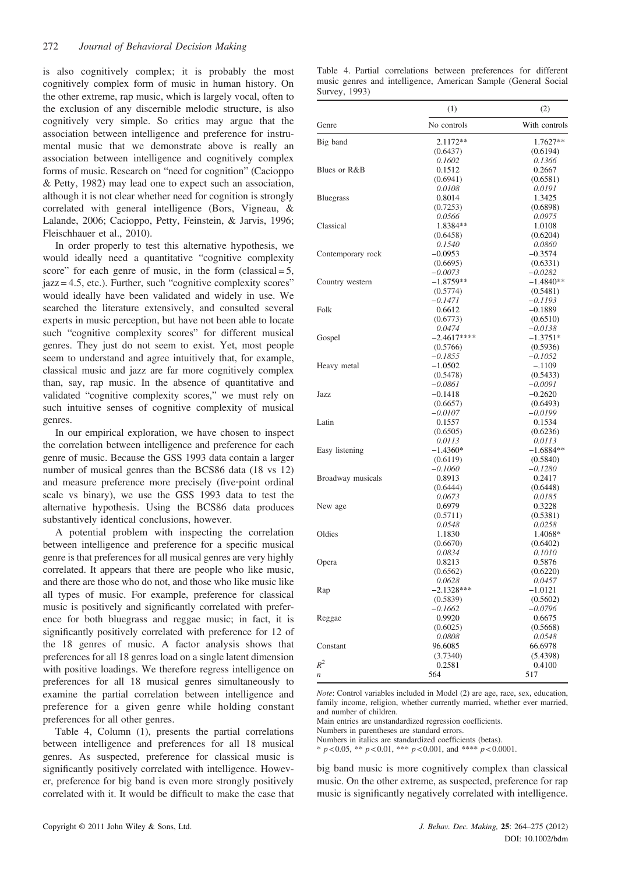is also cognitively complex; it is probably the most cognitively complex form of music in human history. On the other extreme, rap music, which is largely vocal, often to the exclusion of any discernible melodic structure, is also cognitively very simple. So critics may argue that the association between intelligence and preference for instrumental music that we demonstrate above is really an association between intelligence and cognitively complex forms of music. Research on "need for cognition" (Cacioppo & Petty, 1982) may lead one to expect such an association, although it is not clear whether need for cognition is strongly correlated with general intelligence (Bors, Vigneau, & Lalande, 2006; Cacioppo, Petty, Feinstein, & Jarvis, 1996; Fleischhauer et al., 2010).

In order properly to test this alternative hypothesis, we would ideally need a quantitative "cognitive complexity score" for each genre of music, in the form (classical  $= 5$ ,  $j$ azz = 4.5, etc.). Further, such "cognitive complexity scores" would ideally have been validated and widely in use. We searched the literature extensively, and consulted several experts in music perception, but have not been able to locate such "cognitive complexity scores" for different musical genres. They just do not seem to exist. Yet, most people seem to understand and agree intuitively that, for example, classical music and jazz are far more cognitively complex than, say, rap music. In the absence of quantitative and validated "cognitive complexity scores," we must rely on such intuitive senses of cognitive complexity of musical genres.

In our empirical exploration, we have chosen to inspect the correlation between intelligence and preference for each genre of music. Because the GSS 1993 data contain a larger number of musical genres than the BCS86 data (18 vs 12) and measure preference more precisely (five-point ordinal scale vs binary), we use the GSS 1993 data to test the alternative hypothesis. Using the BCS86 data produces substantively identical conclusions, however.

A potential problem with inspecting the correlation between intelligence and preference for a specific musical genre is that preferences for all musical genres are very highly correlated. It appears that there are people who like music, and there are those who do not, and those who like music like all types of music. For example, preference for classical music is positively and significantly correlated with preference for both bluegrass and reggae music; in fact, it is significantly positively correlated with preference for 12 of the 18 genres of music. A factor analysis shows that preferences for all 18 genres load on a single latent dimension with positive loadings. We therefore regress intelligence on preferences for all 18 musical genres simultaneously to examine the partial correlation between intelligence and preference for a given genre while holding constant preferences for all other genres.

Table 4, Column (1), presents the partial correlations between intelligence and preferences for all 18 musical genres. As suspected, preference for classical music is significantly positively correlated with intelligence. However, preference for big band is even more strongly positively correlated with it. It would be difficult to make the case that

|               |  | Table 4. Partial correlations between preferences for different |  |  |
|---------------|--|-----------------------------------------------------------------|--|--|
|               |  | music genres and intelligence, American Sample (General Social  |  |  |
| Survey, 1993) |  |                                                                 |  |  |

|                   | (1)          | (2)                 |
|-------------------|--------------|---------------------|
| Genre             | No controls  | With controls       |
| Big band          | 2.1172**     | $1.7627**$          |
|                   | (0.6437)     | (0.6194)            |
|                   | 0.1602       | 0.1366              |
| Blues or R&B      | 0.1512       | 0.2667              |
|                   | (0.6941)     | (0.6581)            |
|                   | 0.0108       | 0.0191              |
| <b>Bluegrass</b>  | 0.8014       | 1.3425              |
|                   | (0.7253)     | (0.6898)            |
|                   | 0.0566       | 0.0975              |
| Classical         | 1.8384**     | 1.0108              |
|                   | (0.6458)     | (0.6204)            |
|                   |              |                     |
|                   | 0.1540       | 0.0860              |
| Contemporary rock | $-0.0953$    | $-0.3574$           |
|                   | (0.6695)     | (0.6331)            |
|                   | $-0.0073$    | $-0.0282$           |
| Country western   | $-1.8759**$  | $-1.4840**$         |
|                   | (0.5774)     | (0.5481)            |
|                   | $-0.1471$    | $-0.1193$           |
| Folk              | 0.6612       | $-0.1889$           |
|                   | (0.6773)     | (0.6510)            |
|                   | 0.0474       | -0.0138             |
| Gospel            | $-2.4617***$ | $-1.3751*$          |
|                   | (0.5766)     | (0.5936)            |
|                   | $-0.1855$    | $-0.1052$           |
| Heavy metal       | $-1.0502$    | $-.1109$            |
|                   | (0.5478)     | (0.5433)            |
|                   | $-0.0861$    | $-0.0091$           |
| Jazz              | $-0.1418$    | $-0.2620$           |
|                   | (0.6657)     | (0.6493)            |
|                   | $-0.0107$    | $-0.0199$           |
| Latin             | 0.1557       | 0.1534              |
|                   | (0.6505)     | (0.6236)            |
|                   | 0.0113       | 0.0113              |
| Easy listening    | $-1.4360*$   | $-1.6884**$         |
|                   | (0.6119)     | (0.5840)            |
|                   | $-0.1060$    | $-0.1280$           |
| Broadway musicals | 0.8913       | 0.2417              |
|                   | (0.6444)     | (0.6448)            |
|                   | 0.0673       | 0.0185              |
| New age           | 0.6979       | 0.3228              |
|                   | (0.5711)     | (0.5381)            |
|                   | 0.0548       | 0.0258              |
| Oldies            | 1.1830       | 1.4068*             |
|                   | (0.6670)     | (0.6402)            |
|                   | 0.0834       | 0.1010              |
| Opera             | 0.8213       | 0.5876              |
|                   | (0.6562)     | (0.6220)            |
|                   | 0.0628       | 0.0457              |
| Rap               | $-2.1328***$ | –1.0121             |
|                   | (0.5839)     | (0.5602)            |
|                   | $-0.1662$    | -0.0796             |
| Reggae            | 0.9920       | 0.6675              |
|                   | (0.6025)     | (0.5668)            |
|                   | 0.0808       | 0.0548              |
|                   |              |                     |
| Constant          | 96.6085      | 66.6978<br>(5.4398) |
| $R^2$             | (3.7340)     |                     |
|                   | 0.2581       | 0.4100              |
| n                 | 564          | 517                 |

Note: Control variables included in Model (2) are age, race, sex, education, family income, religion, whether currently married, whether ever married, and number of children.

Main entries are unstandardized regression coefficients.

Numbers in parentheses are standard errors.

Numbers in italics are standardized coefficients (betas).

 $p < 0.05$ , \*\*  $p < 0.01$ , \*\*\*  $p < 0.001$ , and \*\*\*\*  $p < 0.0001$ .

big band music is more cognitively complex than classical music. On the other extreme, as suspected, preference for rap music is significantly negatively correlated with intelligence.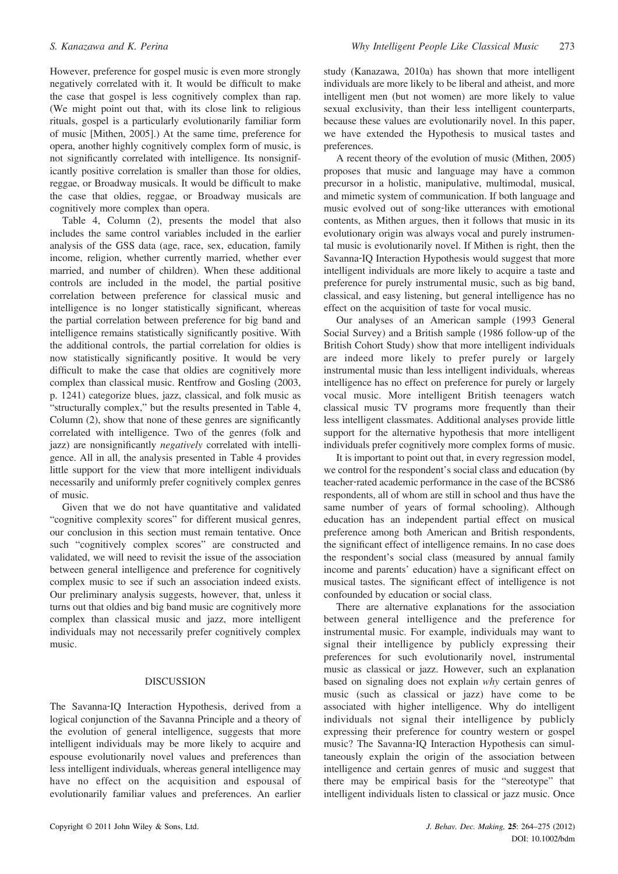However, preference for gospel music is even more strongly negatively correlated with it. It would be difficult to make the case that gospel is less cognitively complex than rap. (We might point out that, with its close link to religious rituals, gospel is a particularly evolutionarily familiar form of music [Mithen, 2005].) At the same time, preference for opera, another highly cognitively complex form of music, is not significantly correlated with intelligence. Its nonsignificantly positive correlation is smaller than those for oldies, reggae, or Broadway musicals. It would be difficult to make the case that oldies, reggae, or Broadway musicals are cognitively more complex than opera.

Table 4, Column (2), presents the model that also includes the same control variables included in the earlier analysis of the GSS data (age, race, sex, education, family income, religion, whether currently married, whether ever married, and number of children). When these additional controls are included in the model, the partial positive correlation between preference for classical music and intelligence is no longer statistically significant, whereas the partial correlation between preference for big band and intelligence remains statistically significantly positive. With the additional controls, the partial correlation for oldies is now statistically significantly positive. It would be very difficult to make the case that oldies are cognitively more complex than classical music. Rentfrow and Gosling (2003, p. 1241) categorize blues, jazz, classical, and folk music as "structurally complex," but the results presented in Table 4, Column (2), show that none of these genres are significantly correlated with intelligence. Two of the genres (folk and jazz) are nonsignificantly *negatively* correlated with intelligence. All in all, the analysis presented in Table 4 provides little support for the view that more intelligent individuals necessarily and uniformly prefer cognitively complex genres of music.

Given that we do not have quantitative and validated "cognitive complexity scores" for different musical genres, our conclusion in this section must remain tentative. Once such "cognitively complex scores" are constructed and validated, we will need to revisit the issue of the association between general intelligence and preference for cognitively complex music to see if such an association indeed exists. Our preliminary analysis suggests, however, that, unless it turns out that oldies and big band music are cognitively more complex than classical music and jazz, more intelligent individuals may not necessarily prefer cognitively complex music.

# DISCUSSION

The Savanna‐IQ Interaction Hypothesis, derived from a logical conjunction of the Savanna Principle and a theory of the evolution of general intelligence, suggests that more intelligent individuals may be more likely to acquire and espouse evolutionarily novel values and preferences than less intelligent individuals, whereas general intelligence may have no effect on the acquisition and espousal of evolutionarily familiar values and preferences. An earlier study (Kanazawa, 2010a) has shown that more intelligent individuals are more likely to be liberal and atheist, and more intelligent men (but not women) are more likely to value sexual exclusivity, than their less intelligent counterparts, because these values are evolutionarily novel. In this paper, we have extended the Hypothesis to musical tastes and preferences.

A recent theory of the evolution of music (Mithen, 2005) proposes that music and language may have a common precursor in a holistic, manipulative, multimodal, musical, and mimetic system of communication. If both language and music evolved out of song‐like utterances with emotional contents, as Mithen argues, then it follows that music in its evolutionary origin was always vocal and purely instrumental music is evolutionarily novel. If Mithen is right, then the Savanna‐IQ Interaction Hypothesis would suggest that more intelligent individuals are more likely to acquire a taste and preference for purely instrumental music, such as big band, classical, and easy listening, but general intelligence has no effect on the acquisition of taste for vocal music.

Our analyses of an American sample (1993 General Social Survey) and a British sample (1986 follow‐up of the British Cohort Study) show that more intelligent individuals are indeed more likely to prefer purely or largely instrumental music than less intelligent individuals, whereas intelligence has no effect on preference for purely or largely vocal music. More intelligent British teenagers watch classical music TV programs more frequently than their less intelligent classmates. Additional analyses provide little support for the alternative hypothesis that more intelligent individuals prefer cognitively more complex forms of music.

It is important to point out that, in every regression model, we control for the respondent's social class and education (by teacher-rated academic performance in the case of the BCS86 respondents, all of whom are still in school and thus have the same number of years of formal schooling). Although education has an independent partial effect on musical preference among both American and British respondents, the significant effect of intelligence remains. In no case does the respondent's social class (measured by annual family income and parents' education) have a significant effect on musical tastes. The significant effect of intelligence is not confounded by education or social class.

There are alternative explanations for the association between general intelligence and the preference for instrumental music. For example, individuals may want to signal their intelligence by publicly expressing their preferences for such evolutionarily novel, instrumental music as classical or jazz. However, such an explanation based on signaling does not explain why certain genres of music (such as classical or jazz) have come to be associated with higher intelligence. Why do intelligent individuals not signal their intelligence by publicly expressing their preference for country western or gospel music? The Savanna‐IQ Interaction Hypothesis can simultaneously explain the origin of the association between intelligence and certain genres of music and suggest that there may be empirical basis for the "stereotype" that intelligent individuals listen to classical or jazz music. Once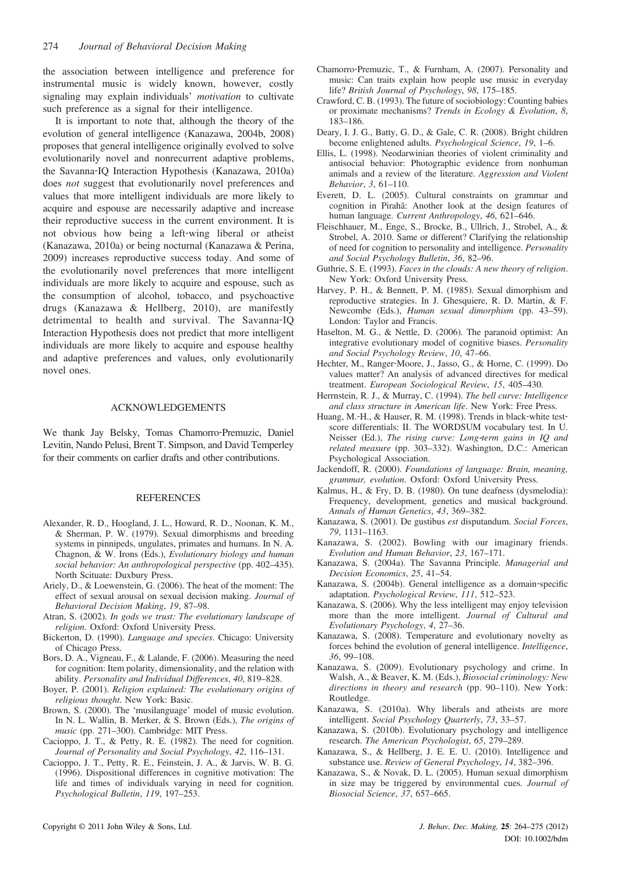the association between intelligence and preference for instrumental music is widely known, however, costly signaling may explain individuals' *motivation* to cultivate such preference as a signal for their intelligence.

It is important to note that, although the theory of the evolution of general intelligence (Kanazawa, 2004b, 2008) proposes that general intelligence originally evolved to solve evolutionarily novel and nonrecurrent adaptive problems, the Savanna‐IQ Interaction Hypothesis (Kanazawa, 2010a) does *not* suggest that evolutionarily novel preferences and values that more intelligent individuals are more likely to acquire and espouse are necessarily adaptive and increase their reproductive success in the current environment. It is not obvious how being a left‐wing liberal or atheist (Kanazawa, 2010a) or being nocturnal (Kanazawa & Perina, 2009) increases reproductive success today. And some of the evolutionarily novel preferences that more intelligent individuals are more likely to acquire and espouse, such as the consumption of alcohol, tobacco, and psychoactive drugs (Kanazawa & Hellberg, 2010), are manifestly detrimental to health and survival. The Savanna‐IQ Interaction Hypothesis does not predict that more intelligent individuals are more likely to acquire and espouse healthy and adaptive preferences and values, only evolutionarily novel ones.

#### ACKNOWLEDGEMENTS

We thank Jay Belsky, Tomas Chamorro‐Premuzic, Daniel Levitin, Nando Pelusi, Brent T. Simpson, and David Temperley for their comments on earlier drafts and other contributions.

#### **REFERENCES**

- Alexander, R. D., Hoogland, J. L., Howard, R. D., Noonan, K. M., & Sherman, P. W. (1979). Sexual dimorphisms and breeding systems in pinnipeds, ungulates, primates and humans. In N. A. Chagnon, & W. Irons (Eds.), Evolutionary biology and human social behavior: An anthropological perspective (pp. 402–435). North Scituate: Duxbury Press.
- Ariely, D., & Loewenstein, G. (2006). The heat of the moment: The effect of sexual arousal on sexual decision making. Journal of Behavioral Decision Making, 19, 87–98.
- Atran, S. (2002). In gods we trust: The evolutionary landscape of religion. Oxford: Oxford University Press.
- Bickerton, D. (1990). Language and species. Chicago: University of Chicago Press.
- Bors, D. A., Vigneau, F., & Lalande, F. (2006). Measuring the need for cognition: Item polarity, dimensionality, and the relation with ability. Personality and Individual Differences, 40, 819–828.
- Boyer, P. (2001). Religion explained: The evolutionary origins of religious thought. New York: Basic.
- Brown, S. (2000). The 'musilanguage' model of music evolution. In N. L. Wallin, B. Merker, & S. Brown (Eds.), The origins of music (pp. 271–300). Cambridge: MIT Press.
- Cacioppo, J. T., & Petty, R. E. (1982). The need for cognition. Journal of Personality and Social Psychology, 42, 116–131.
- Cacioppo, J. T., Petty, R. E., Feinstein, J. A., & Jarvis, W. B. G. (1996). Dispositional differences in cognitive motivation: The life and times of individuals varying in need for cognition. Psychological Bulletin, 119, 197–253.
- Chamorro‐Premuzic, T., & Furnham, A. (2007). Personality and music: Can traits explain how people use music in everyday life? British Journal of Psychology, 98, 175–185.
- Crawford, C. B. (1993). The future of sociobiology: Counting babies or proximate mechanisms? Trends in Ecology & Evolution, 8, 183–186.
- Deary, I. J. G., Batty, G. D., & Gale, C. R. (2008). Bright children become enlightened adults. Psychological Science, 19, 1–6.
- Ellis, L. (1998). Neodarwinian theories of violent criminality and antisocial behavior: Photographic evidence from nonhuman animals and a review of the literature. Aggression and Violent Behavior, 3, 61–110.
- Everett, D. L. (2005). Cultural constraints on grammar and cognition in Pirahã: Another look at the design features of human language. Current Anthropology, 46, 621–646.
- Fleischhauer, M., Enge, S., Brocke, B., Ullrich, J., Strobel, A., & Strobel, A. 2010. Same or different? Clarifying the relationship of need for cognition to personality and intelligence. Personality and Social Psychology Bulletin, 36, 82–96.
- Guthrie, S. E. (1993). Faces in the clouds: A new theory of religion. New York: Oxford University Press.
- Harvey, P. H., & Bennett, P. M. (1985). Sexual dimorphism and reproductive strategies. In J. Ghesquiere, R. D. Martin, & F. Newcombe (Eds.), Human sexual dimorphism (pp. 43–59). London: Taylor and Francis.
- Haselton, M. G., & Nettle, D. (2006). The paranoid optimist: An integrative evolutionary model of cognitive biases. Personality and Social Psychology Review, 10, 47–66.
- Hechter, M., Ranger‐Moore, J., Jasso, G., & Horne, C. (1999). Do values matter? An analysis of advanced directives for medical treatment. European Sociological Review, 15, 405–430.
- Herrnstein, R. J., & Murray, C. (1994). The bell curve: Intelligence and class structure in American life. New York: Free Press.
- Huang, M.-H., & Hauser, R. M. (1998). Trends in black-white testscore differentials: II. The WORDSUM vocabulary test. In U. Neisser (Ed.), The rising curve: Long-term gains in IQ and related measure (pp. 303–332). Washington, D.C.: American Psychological Association.
- Jackendoff, R. (2000). Foundations of language: Brain, meaning, grammar, evolution. Oxford: Oxford University Press.
- Kalmus, H., & Fry, D. B. (1980). On tune deafness (dysmelodia): Frequency, development, genetics and musical background. Annals of Human Genetics, 43, 369–382.
- Kanazawa, S. (2001). De gustibus est disputandum. Social Forces, 79, 1131–1163.
- Kanazawa, S. (2002). Bowling with our imaginary friends. Evolution and Human Behavior, 23, 167–171.
- Kanazawa, S. (2004a). The Savanna Principle. Managerial and Decision Economics, 25, 41–54.
- Kanazawa, S. (2004b). General intelligence as a domain‐specific adaptation. Psychological Review, 111, 512–523.
- Kanazawa, S. (2006). Why the less intelligent may enjoy television more than the more intelligent. Journal of Cultural and Evolutionary Psychology, 4, 27–36.
- Kanazawa, S. (2008). Temperature and evolutionary novelty as forces behind the evolution of general intelligence. Intelligence, 36, 99–108.
- Kanazawa, S. (2009). Evolutionary psychology and crime. In Walsh, A., & Beaver, K. M. (Eds.), Biosocial criminology: New directions in theory and research (pp. 90–110). New York: Routledge.
- Kanazawa, S. (2010a). Why liberals and atheists are more intelligent. Social Psychology Quarterly, 73, 33–57.
- Kanazawa, S. (2010b). Evolutionary psychology and intelligence research. The American Psychologist, 65, 279–289.
- Kanazawa, S., & Hellberg, J. E. E. U. (2010). Intelligence and substance use. Review of General Psychology, 14, 382–396.
- Kanazawa, S., & Novak, D. L. (2005). Human sexual dimorphism in size may be triggered by environmental cues. Journal of Biosocial Science, 37, 657–665.